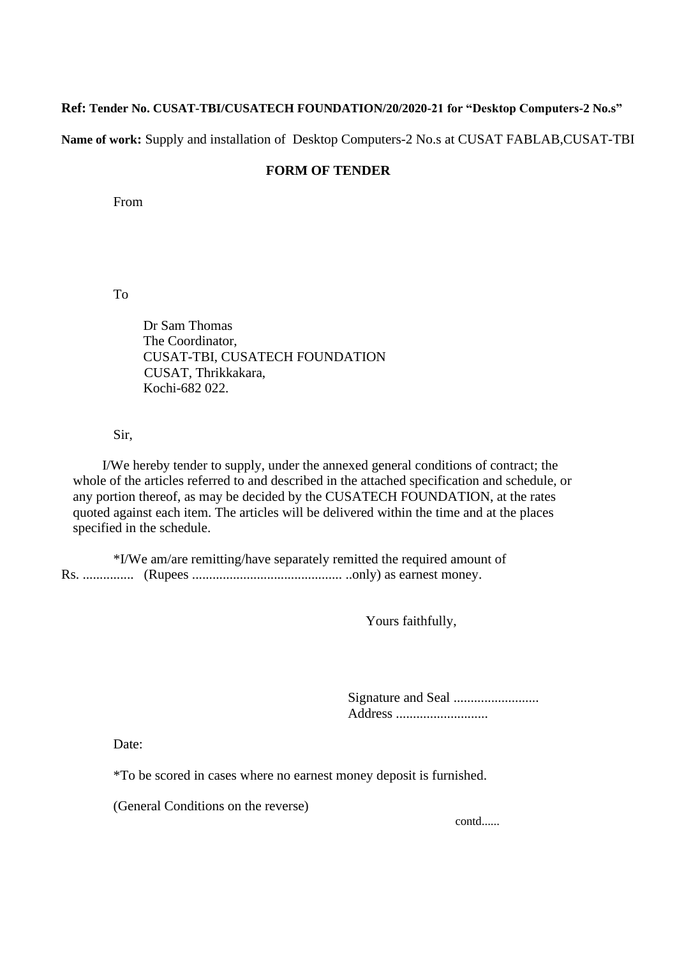## **Ref: Tender No. CUSAT-TBI/CUSATECH FOUNDATION/20/2020-21 for "Desktop Computers-2 No.s"**

**Name of work:** Supply and installation of Desktop Computers-2 No.s at CUSAT FABLAB,CUSAT-TBI

## **FORM OF TENDER**

From

To

Dr Sam Thomas The Coordinator, CUSAT-TBI, CUSATECH FOUNDATION CUSAT, Thrikkakara, Kochi-682 022.

Sir,

I/We hereby tender to supply, under the annexed general conditions of contract; the whole of the articles referred to and described in the attached specification and schedule, or any portion thereof, as may be decided by the CUSATECH FOUNDATION, at the rates quoted against each item. The articles will be delivered within the time and at the places specified in the schedule.

\*I/We am/are remitting/have separately remitted the required amount of Rs. ............... (Rupees ............................................ ..only) as earnest money.

Yours faithfully,

Signature and Seal ......................... Address ...........................

Date:

\*To be scored in cases where no earnest money deposit is furnished.

(General Conditions on the reverse)

contd......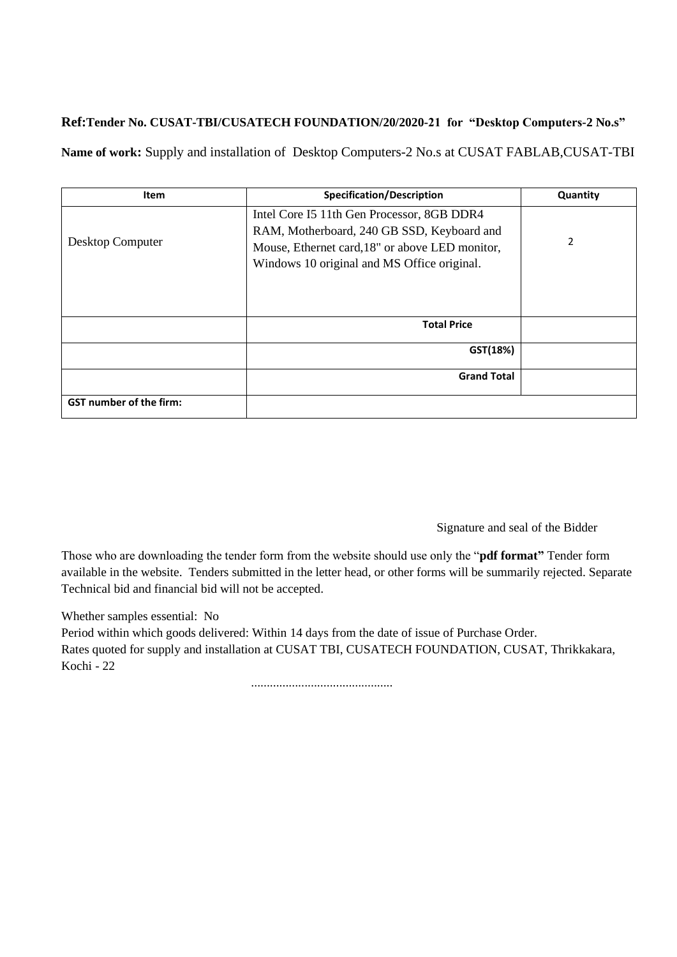## **Ref:Tender No. CUSAT-TBI/CUSATECH FOUNDATION/20/2020-21 for "Desktop Computers-2 No.s"**

**Name of work:** Supply and installation of Desktop Computers-2 No.s at CUSAT FABLAB,CUSAT-TBI

| <b>Item</b>                    | <b>Specification/Description</b>                                                                                                                                                           | Quantity |
|--------------------------------|--------------------------------------------------------------------------------------------------------------------------------------------------------------------------------------------|----------|
| Desktop Computer               | Intel Core I5 11th Gen Processor, 8GB DDR4<br>RAM, Motherboard, 240 GB SSD, Keyboard and<br>Mouse, Ethernet card, 18" or above LED monitor,<br>Windows 10 original and MS Office original. | 2        |
|                                |                                                                                                                                                                                            |          |
|                                | <b>Total Price</b>                                                                                                                                                                         |          |
|                                | GST(18%)                                                                                                                                                                                   |          |
|                                | <b>Grand Total</b>                                                                                                                                                                         |          |
| <b>GST number of the firm:</b> |                                                                                                                                                                                            |          |

Signature and seal of the Bidder

Those who are downloading the tender form from the website should use only the "**pdf format"** Tender form available in the website. Tenders submitted in the letter head, or other forms will be summarily rejected. Separate Technical bid and financial bid will not be accepted.

Whether samples essential: No

Period within which goods delivered: Within 14 days from the date of issue of Purchase Order. Rates quoted for supply and installation at CUSAT TBI, CUSATECH FOUNDATION, CUSAT, Thrikkakara, Kochi - 22

.............................................